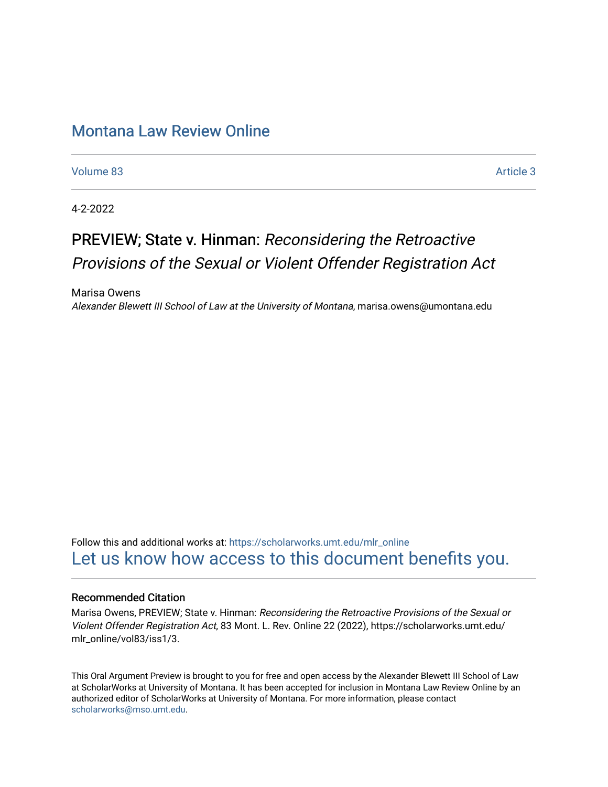## [Montana Law Review Online](https://scholarworks.umt.edu/mlr_online)

[Volume 83](https://scholarworks.umt.edu/mlr_online/vol83) [Article 3](https://scholarworks.umt.edu/mlr_online/vol83/iss1/3) 

4-2-2022

# PREVIEW; State v. Hinman: Reconsidering the Retroactive Provisions of the Sexual or Violent Offender Registration Act

Marisa Owens Alexander Blewett III School of Law at the University of Montana, marisa.owens@umontana.edu

Follow this and additional works at: [https://scholarworks.umt.edu/mlr\\_online](https://scholarworks.umt.edu/mlr_online?utm_source=scholarworks.umt.edu%2Fmlr_online%2Fvol83%2Fiss1%2F3&utm_medium=PDF&utm_campaign=PDFCoverPages) [Let us know how access to this document benefits you.](https://goo.gl/forms/s2rGfXOLzz71qgsB2) 

#### Recommended Citation

Marisa Owens, PREVIEW; State v. Hinman: Reconsidering the Retroactive Provisions of the Sexual or Violent Offender Registration Act, 83 Mont. L. Rev. Online 22 (2022), https://scholarworks.umt.edu/ mlr\_online/vol83/iss1/3.

This Oral Argument Preview is brought to you for free and open access by the Alexander Blewett III School of Law at ScholarWorks at University of Montana. It has been accepted for inclusion in Montana Law Review Online by an authorized editor of ScholarWorks at University of Montana. For more information, please contact [scholarworks@mso.umt.edu.](mailto:scholarworks@mso.umt.edu)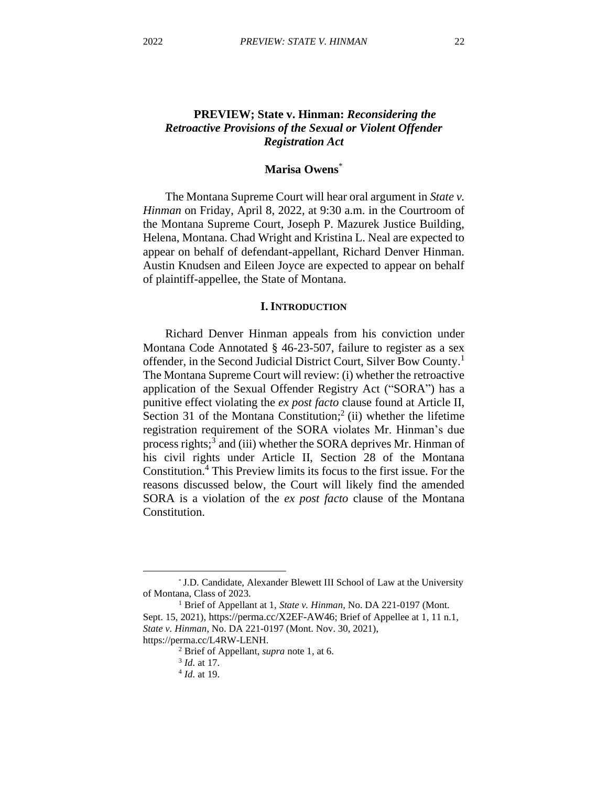## **PREVIEW; State v. Hinman:** *Reconsidering the Retroactive Provisions of the Sexual or Violent Offender Registration Act*

## **Marisa Owens**\*

The Montana Supreme Court will hear oral argument in *State v. Hinman* on Friday, April 8, 2022, at 9:30 a.m. in the Courtroom of the Montana Supreme Court, Joseph P. Mazurek Justice Building, Helena, Montana. Chad Wright and Kristina L. Neal are expected to appear on behalf of defendant-appellant, Richard Denver Hinman. Austin Knudsen and Eileen Joyce are expected to appear on behalf of plaintiff-appellee, the State of Montana.

#### **I. INTRODUCTION**

Richard Denver Hinman appeals from his conviction under Montana Code Annotated § 46-23-507, failure to register as a sex offender, in the Second Judicial District Court, Silver Bow County.<sup>1</sup> The Montana Supreme Court will review: (i) whether the retroactive application of the Sexual Offender Registry Act ("SORA") has a punitive effect violating the *ex post facto* clause found at Article II, Section 31 of the Montana Constitution;<sup>2</sup> (ii) whether the lifetime registration requirement of the SORA violates Mr. Hinman's due process rights;<sup>3</sup> and (iii) whether the SORA deprives Mr. Hinman of his civil rights under Article II, Section 28 of the Montana Constitution.<sup>4</sup> This Preview limits its focus to the first issue. For the reasons discussed below, the Court will likely find the amended SORA is a violation of the *ex post facto* clause of the Montana Constitution.

<sup>\*</sup> J.D. Candidate, Alexander Blewett III School of Law at the University of Montana, Class of 2023.

<sup>1</sup> Brief of Appellant at 1, *State v. Hinman*, No. DA 221-0197 (Mont. Sept. 15, 2021), https://perma.cc/X2EF-AW46; Brief of Appellee at 1, 11 n.1, *State v. Hinman*, No. DA 221-0197 (Mont. Nov. 30, 2021), https://perma.cc/L4RW-LENH.

<sup>2</sup> Brief of Appellant, *supra* note 1, at 6.

<sup>3</sup> *Id.* at 17.

<sup>4</sup> *Id.* at 19.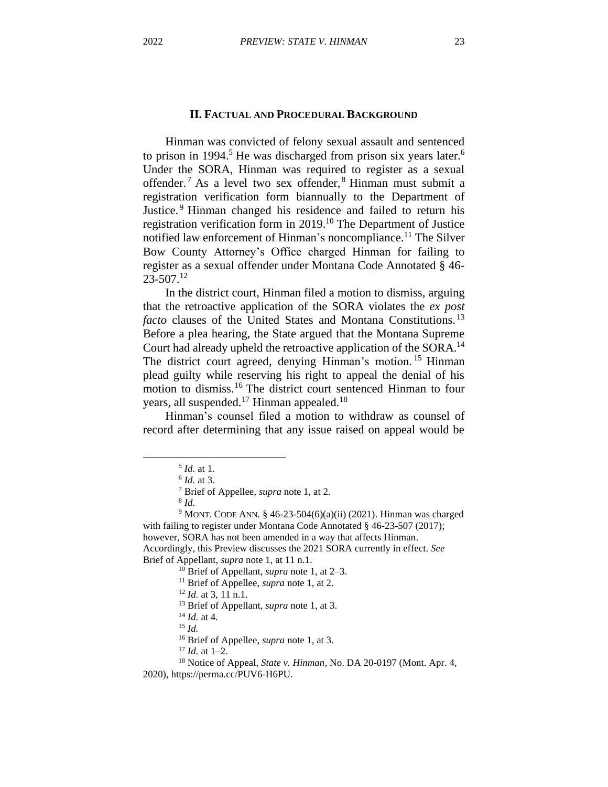#### **II. FACTUAL AND PROCEDURAL BACKGROUND**

Hinman was convicted of felony sexual assault and sentenced to prison in 1994.<sup>5</sup> He was discharged from prison six years later.<sup>6</sup> Under the SORA, Hinman was required to register as a sexual offender. <sup>7</sup> As a level two sex offender, <sup>8</sup> Hinman must submit a registration verification form biannually to the Department of Justice. <sup>9</sup> Hinman changed his residence and failed to return his registration verification form in 2019.<sup>10</sup> The Department of Justice notified law enforcement of Hinman's noncompliance. <sup>11</sup> The Silver Bow County Attorney's Office charged Hinman for failing to register as a sexual offender under Montana Code Annotated § 46- 23-507.<sup>12</sup>

In the district court, Hinman filed a motion to dismiss, arguing that the retroactive application of the SORA violates the *ex post facto* clauses of the United States and Montana Constitutions.<sup>13</sup> Before a plea hearing, the State argued that the Montana Supreme Court had already upheld the retroactive application of the SORA.<sup>14</sup> The district court agreed, denying Hinman's motion.<sup>15</sup> Hinman plead guilty while reserving his right to appeal the denial of his motion to dismiss.<sup>16</sup> The district court sentenced Hinman to four years, all suspended.<sup>17</sup> Hinman appealed.<sup>18</sup>

Hinman's counsel filed a motion to withdraw as counsel of record after determining that any issue raised on appeal would be

<sup>16</sup> Brief of Appellee, *supra* note 1, at 3.

<sup>5</sup> *Id.* at 1.

<sup>6</sup> *Id.* at 3.

<sup>7</sup> Brief of Appellee, *supra* note 1, at 2.

<sup>8</sup> *Id.*

<sup>&</sup>lt;sup>9</sup> MONT. CODE ANN. § 46-23-504(6)(a)(ii) (2021). Hinman was charged with failing to register under Montana Code Annotated § 46-23-507 (2017); however, SORA has not been amended in a way that affects Hinman. Accordingly, this Preview discusses the 2021 SORA currently in effect. *See* Brief of Appellant, *supra* note 1, at 11 n.1.

<sup>10</sup> Brief of Appellant, *supra* note 1, at 2–3.

<sup>11</sup> Brief of Appellee, *supra* note 1, at 2.

<sup>12</sup> *Id.* at 3, 11 n.1.

<sup>13</sup> Brief of Appellant, *supra* note 1, at 3.

<sup>14</sup> *Id.* at 4.

<sup>15</sup> *Id.*

<sup>17</sup> *Id.* at 1–2.

<sup>18</sup> Notice of Appeal, *State v. Hinman*, No. DA 20-0197 (Mont. Apr. 4, 2020), https://perma.cc/PUV6-H6PU.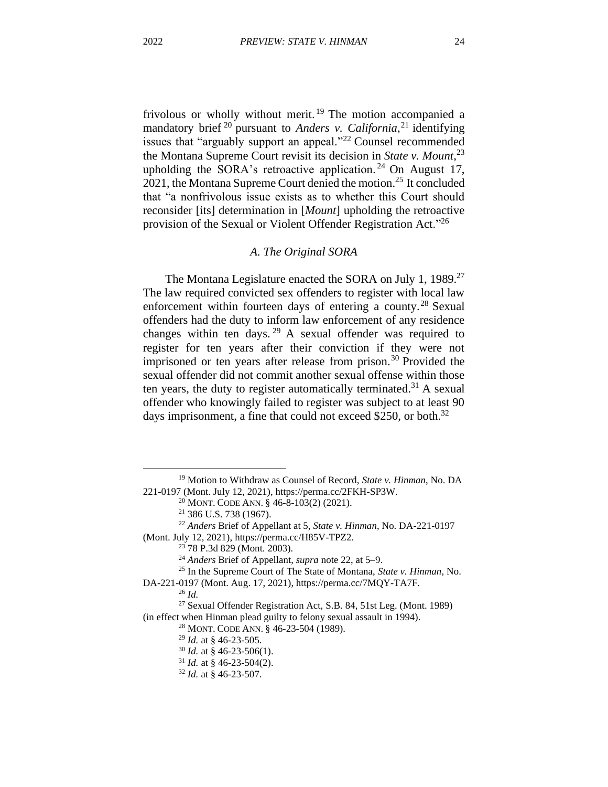frivolous or wholly without merit.<sup>19</sup> The motion accompanied a mandatory brief<sup>20</sup> pursuant to *Anders v. California*<sup>21</sup> identifying issues that "arguably support an appeal."<sup>22</sup> Counsel recommended the Montana Supreme Court revisit its decision in *State v. Mount*, 23 upholding the SORA's retroactive application.<sup>24</sup> On August 17, 2021, the Montana Supreme Court denied the motion. <sup>25</sup> It concluded that "a nonfrivolous issue exists as to whether this Court should reconsider [its] determination in [*Mount*] upholding the retroactive provision of the Sexual or Violent Offender Registration Act."<sup>26</sup>

#### *A. The Original SORA*

The Montana Legislature enacted the SORA on July 1, 1989.<sup>27</sup> The law required convicted sex offenders to register with local law enforcement within fourteen days of entering a county.<sup>28</sup> Sexual offenders had the duty to inform law enforcement of any residence changes within ten days. <sup>29</sup> A sexual offender was required to register for ten years after their conviction if they were not imprisoned or ten years after release from prison.<sup>30</sup> Provided the sexual offender did not commit another sexual offense within those ten years, the duty to register automatically terminated.<sup>31</sup> A sexual offender who knowingly failed to register was subject to at least 90 days imprisonment, a fine that could not exceed \$250, or both.<sup>32</sup>

<sup>19</sup> Motion to Withdraw as Counsel of Record, *State v. Hinman*, No. DA 221-0197 (Mont. July 12, 2021), https://perma.cc/2FKH-SP3W.

<sup>20</sup> MONT. CODE ANN. § 46-8-103(2) (2021).

<sup>21</sup> 386 U.S. 738 (1967).

<sup>22</sup> *Anders* Brief of Appellant at 5, *State v. Hinman*, No. DA-221-0197 (Mont. July 12, 2021), https://perma.cc/H85V-TPZ2.

<sup>23</sup> 78 P.3d 829 (Mont. 2003).

<sup>24</sup> *Anders* Brief of Appellant, *supra* note 22, at 5–9.

<sup>25</sup> In the Supreme Court of The State of Montana, *State v. Hinman*, No.

DA-221-0197 (Mont. Aug. 17, 2021), https://perma.cc/7MQY-TA7F.

<sup>26</sup> *Id.*

<sup>27</sup> Sexual Offender Registration Act, S.B. 84, 51st Leg. (Mont. 1989) (in effect when Hinman plead guilty to felony sexual assault in 1994).

<sup>28</sup> MONT. CODE ANN. § 46-23-504 (1989).

<sup>29</sup> *Id.* at § 46-23-505.

<sup>30</sup> *Id.* at § 46-23-506(1).

<sup>31</sup> *Id.* at § 46-23-504(2).

<sup>32</sup> *Id.* at § 46-23-507.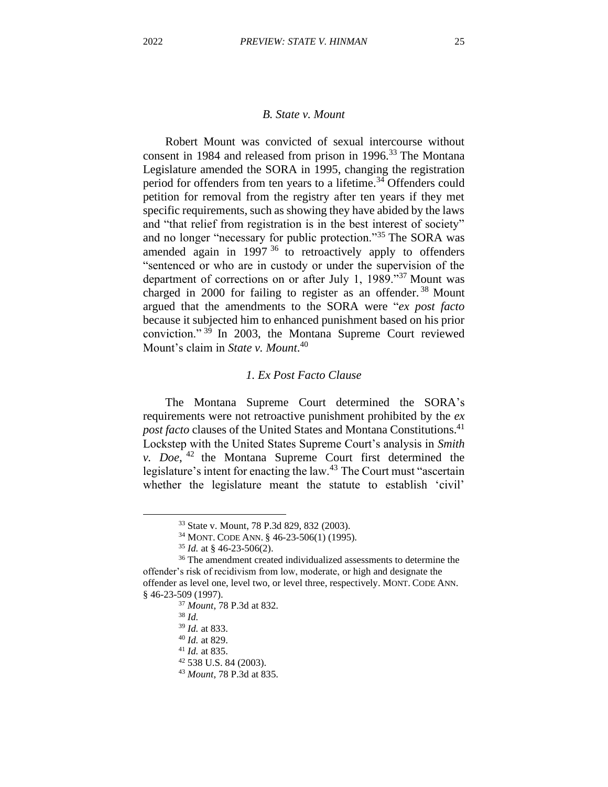## *B. State v. Mount*

Robert Mount was convicted of sexual intercourse without consent in 1984 and released from prison in 1996.<sup>33</sup> The Montana Legislature amended the SORA in 1995, changing the registration period for offenders from ten years to a lifetime.<sup>34</sup> Offenders could petition for removal from the registry after ten years if they met specific requirements, such as showing they have abided by the laws and "that relief from registration is in the best interest of society" and no longer "necessary for public protection."<sup>35</sup> The SORA was amended again in 1997<sup>36</sup> to retroactively apply to offenders "sentenced or who are in custody or under the supervision of the department of corrections on or after July 1, 1989."<sup>37</sup> Mount was charged in 2000 for failing to register as an offender.<sup>38</sup> Mount argued that the amendments to the SORA were "*ex post facto* because it subjected him to enhanced punishment based on his prior conviction." <sup>39</sup> In 2003, the Montana Supreme Court reviewed Mount's claim in *State v. Mount*. 40

#### *1. Ex Post Facto Clause*

The Montana Supreme Court determined the SORA's requirements were not retroactive punishment prohibited by the *ex post facto* clauses of the United States and Montana Constitutions. 41 Lockstep with the United States Supreme Court's analysis in *Smith v. Doe*, <sup>42</sup> the Montana Supreme Court first determined the legislature's intent for enacting the law.<sup>43</sup> The Court must "ascertain whether the legislature meant the statute to establish 'civil'

<sup>33</sup> State v. Mount, 78 P.3d 829, 832 (2003).

<sup>34</sup> MONT. CODE ANN. § 46-23-506(1) (1995).

<sup>35</sup> *Id.* at § 46-23-506(2).

<sup>&</sup>lt;sup>36</sup> The amendment created individualized assessments to determine the offender's risk of recidivism from low, moderate, or high and designate the offender as level one, level two, or level three, respectively. MONT. CODE ANN. § 46-23-509 (1997).

<sup>37</sup> *Mount*, 78 P.3d at 832.

<sup>38</sup> *Id.*

<sup>39</sup> *Id.* at 833.

<sup>40</sup> *Id.* at 829.

<sup>41</sup> *Id.* at 835.

<sup>42</sup> 538 U.S. 84 (2003).

<sup>43</sup> *Mount*, 78 P.3d at 835.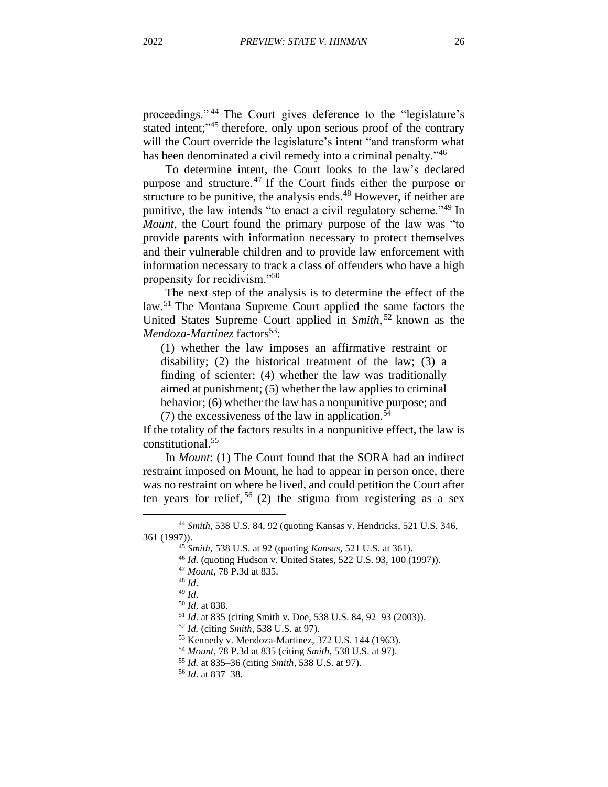proceedings." <sup>44</sup> The Court gives deference to the "legislature's stated intent;"<sup>45</sup> therefore, only upon serious proof of the contrary will the Court override the legislature's intent "and transform what has been denominated a civil remedy into a criminal penalty."<sup>46</sup>

To determine intent, the Court looks to the law's declared purpose and structure. <sup>47</sup> If the Court finds either the purpose or structure to be punitive, the analysis ends. $48$  However, if neither are punitive, the law intends "to enact a civil regulatory scheme."<sup>49</sup> In *Mount*, the Court found the primary purpose of the law was "to provide parents with information necessary to protect themselves and their vulnerable children and to provide law enforcement with information necessary to track a class of offenders who have a high propensity for recidivism."<sup>50</sup>

The next step of the analysis is to determine the effect of the law.<sup>51</sup> The Montana Supreme Court applied the same factors the United States Supreme Court applied in *Smith*, <sup>52</sup> known as the *Mendoza-Martinez* factors<sup>53</sup>:

(1) whether the law imposes an affirmative restraint or disability; (2) the historical treatment of the law; (3) a finding of scienter; (4) whether the law was traditionally aimed at punishment; (5) whether the law applies to criminal behavior; (6) whether the law has a nonpunitive purpose; and

(7) the excessiveness of the law in application.<sup>54</sup>

If the totality of the factors results in a nonpunitive effect, the law is constitutional. 55

In *Mount*: (1) The Court found that the SORA had an indirect restraint imposed on Mount, he had to appear in person once, there was no restraint on where he lived, and could petition the Court after ten years for relief, <sup>56</sup> (2) the stigma from registering as a sex

<sup>48</sup> *Id*.

<sup>44</sup> *Smith*, 538 U.S. 84, 92 (quoting Kansas v. Hendricks, 521 U.S. 346, 361 (1997)).

<sup>45</sup> *Smith*, 538 U.S. at 92 (quoting *Kansas*, 521 U.S. at 361).

<sup>46</sup> *Id*. (quoting Hudson v. United States, 522 U.S. 93, 100 (1997)).

<sup>47</sup> *Mount*, 78 P.3d at 835.

<sup>49</sup> *Id*.

<sup>50</sup> *Id*. at 838.

<sup>51</sup> *Id*. at 835 (citing Smith v. Doe, 538 U.S. 84, 92–93 (2003)).

<sup>52</sup> *Id.* (citing *Smith*, 538 U.S. at 97).

<sup>53</sup> Kennedy v. Mendoza-Martinez, 372 U.S. 144 (1963).

<sup>54</sup> *Mount*, 78 P.3d at 835 (citing *Smith*, 538 U.S. at 97).

<sup>55</sup> *Id.* at 835–36 (citing *Smith*, 538 U.S. at 97).

<sup>56</sup> *Id*. at 837–38.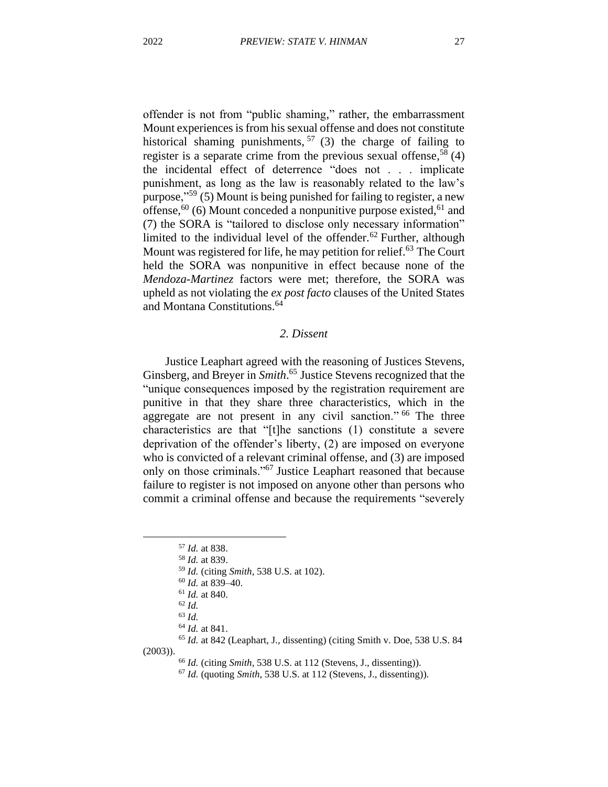offender is not from "public shaming," rather, the embarrassment Mount experiences is from his sexual offense and does not constitute historical shaming punishments,  $57$  (3) the charge of failing to register is a separate crime from the previous sexual offense,<sup>58</sup> (4) the incidental effect of deterrence "does not . . . implicate punishment, as long as the law is reasonably related to the law's purpose,"<sup>59</sup> (5) Mount is being punished for failing to register, a new offense,  $60$  (6) Mount conceded a nonpunitive purpose existed,  $61$  and (7) the SORA is "tailored to disclose only necessary information" limited to the individual level of the offender.<sup>62</sup> Further, although Mount was registered for life, he may petition for relief.<sup>63</sup> The Court held the SORA was nonpunitive in effect because none of the *Mendoza-Martinez* factors were met; therefore, the SORA was upheld as not violating the *ex post facto* clauses of the United States and Montana Constitutions.<sup>64</sup>

## *2. Dissent*

Justice Leaphart agreed with the reasoning of Justices Stevens, Ginsberg, and Breyer in *Smith*. <sup>65</sup> Justice Stevens recognized that the "unique consequences imposed by the registration requirement are punitive in that they share three characteristics, which in the aggregate are not present in any civil sanction." <sup>66</sup> The three characteristics are that "[t]he sanctions (1) constitute a severe deprivation of the offender's liberty, (2) are imposed on everyone who is convicted of a relevant criminal offense, and (3) are imposed only on those criminals."<sup>67</sup> Justice Leaphart reasoned that because failure to register is not imposed on anyone other than persons who commit a criminal offense and because the requirements "severely

<sup>57</sup> *Id.* at 838.

<sup>58</sup> *Id.* at 839.

<sup>59</sup> *Id.* (citing *Smith*, 538 U.S. at 102).

<sup>60</sup> *Id.* at 839–40.

<sup>61</sup> *Id.* at 840.

<sup>62</sup> *Id.*

<sup>63</sup> *Id.*

<sup>64</sup> *Id.* at 841.

<sup>65</sup> *Id.* at 842 (Leaphart, J., dissenting) (citing Smith v. Doe, 538 U.S. 84 (2003)).

<sup>66</sup> *Id.* (citing *Smith*, 538 U.S. at 112 (Stevens, J., dissenting)).

<sup>67</sup> *Id.* (quoting *Smith*, 538 U.S. at 112 (Stevens, J., dissenting)).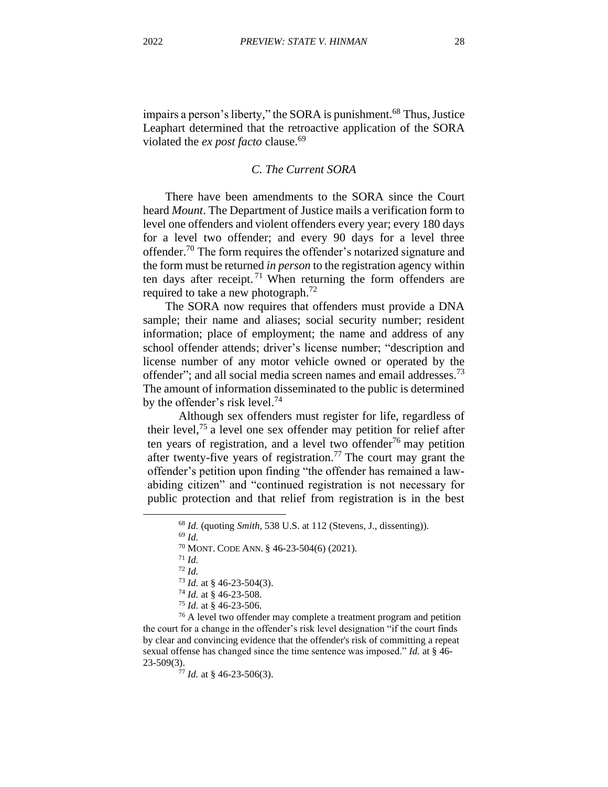impairs a person's liberty," the SORA is punishment.<sup>68</sup> Thus, Justice Leaphart determined that the retroactive application of the SORA violated the *ex post facto* clause.<sup>69</sup>

## *C. The Current SORA*

There have been amendments to the SORA since the Court heard *Mount*. The Department of Justice mails a verification form to level one offenders and violent offenders every year; every 180 days for a level two offender; and every 90 days for a level three offender.<sup>70</sup> The form requires the offender's notarized signature and the form must be returned *in person* to the registration agency within ten days after receipt.<sup>71</sup> When returning the form offenders are required to take a new photograph.<sup>72</sup>

The SORA now requires that offenders must provide a DNA sample; their name and aliases; social security number; resident information; place of employment; the name and address of any school offender attends; driver's license number; "description and license number of any motor vehicle owned or operated by the offender"; and all social media screen names and email addresses.<sup>73</sup> The amount of information disseminated to the public is determined by the offender's risk level.<sup>74</sup>

Although sex offenders must register for life, regardless of their level,<sup>75</sup> a level one sex offender may petition for relief after ten years of registration, and a level two offender<sup>76</sup> may petition after twenty-five years of registration.<sup>77</sup> The court may grant the offender's petition upon finding "the offender has remained a lawabiding citizen" and "continued registration is not necessary for public protection and that relief from registration is in the best

<sup>68</sup> *Id.* (quoting *Smith*, 538 U.S. at 112 (Stevens, J., dissenting)).

<sup>69</sup> *Id.*

<sup>70</sup> MONT. CODE ANN. § 46-23-504(6) (2021).

<sup>71</sup> *Id.*

<sup>72</sup> *Id.*

<sup>73</sup> *Id.* at § 46-23-504(3).

<sup>74</sup> *Id.* at § 46-23-508.

<sup>75</sup> *Id.* at § 46-23-506.

<sup>&</sup>lt;sup>76</sup> A level two offender may complete a treatment program and petition the court for a change in the offender's risk level designation "if the court finds by clear and convincing evidence that the offender's risk of committing a repeat sexual offense has changed since the time sentence was imposed." *Id.* at § 46- 23-509(3).

<sup>77</sup> *Id.* at § 46-23-506(3).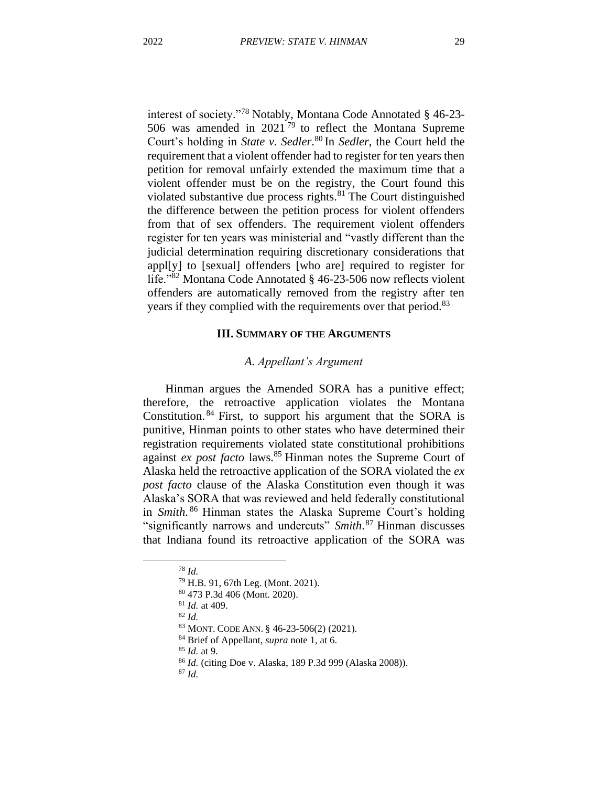interest of society."<sup>78</sup> Notably, Montana Code Annotated § 46-23- 506 was amended in  $2021^{79}$  to reflect the Montana Supreme Court's holding in *State v. Sedler*. <sup>80</sup> In *Sedler*, the Court held the requirement that a violent offender had to register for ten years then petition for removal unfairly extended the maximum time that a violent offender must be on the registry, the Court found this violated substantive due process rights. $81$  The Court distinguished the difference between the petition process for violent offenders from that of sex offenders. The requirement violent offenders register for ten years was ministerial and "vastly different than the judicial determination requiring discretionary considerations that appl[y] to [sexual] offenders [who are] required to register for life."<sup>82</sup> Montana Code Annotated § 46-23-506 now reflects violent offenders are automatically removed from the registry after ten years if they complied with the requirements over that period.<sup>83</sup>

## **III. SUMMARY OF THE ARGUMENTS**

#### *A. Appellant's Argument*

Hinman argues the Amended SORA has a punitive effect; therefore, the retroactive application violates the Montana Constitution.<sup>84</sup> First, to support his argument that the SORA is punitive, Hinman points to other states who have determined their registration requirements violated state constitutional prohibitions against *ex post facto* laws.<sup>85</sup> Hinman notes the Supreme Court of Alaska held the retroactive application of the SORA violated the *ex post facto* clause of the Alaska Constitution even though it was Alaska's SORA that was reviewed and held federally constitutional in *Smith*. <sup>86</sup> Hinman states the Alaska Supreme Court's holding "significantly narrows and undercuts" *Smith*. <sup>87</sup> Hinman discusses that Indiana found its retroactive application of the SORA was

<sup>78</sup> *Id.*

<sup>79</sup> H.B. 91, 67th Leg. (Mont. 2021).

<sup>80</sup> 473 P.3d 406 (Mont. 2020).

<sup>81</sup> *Id.* at 409.

<sup>82</sup> *Id.*

<sup>83</sup> MONT. CODE ANN. § 46-23-506(2) (2021).

<sup>84</sup> Brief of Appellant, *supra* note 1, at 6.

<sup>85</sup> *Id.* at 9.

<sup>86</sup> *Id.* (citing Doe v. Alaska, 189 P.3d 999 (Alaska 2008)).

<sup>87</sup> *Id.*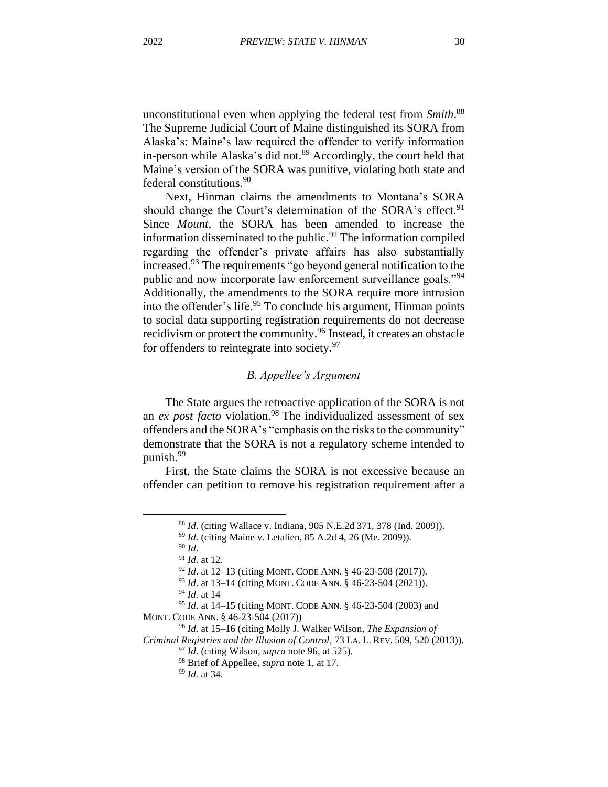unconstitutional even when applying the federal test from *Smith*. 88 The Supreme Judicial Court of Maine distinguished its SORA from Alaska's: Maine's law required the offender to verify information in-person while Alaska's did not.<sup>89</sup> Accordingly, the court held that Maine's version of the SORA was punitive, violating both state and federal constitutions.<sup>90</sup>

Next, Hinman claims the amendments to Montana's SORA should change the Court's determination of the SORA's effect.<sup>91</sup> Since *Mount*, the SORA has been amended to increase the information disseminated to the public.<sup>92</sup> The information compiled regarding the offender's private affairs has also substantially increased.<sup>93</sup> The requirements "go beyond general notification to the public and now incorporate law enforcement surveillance goals."<sup>94</sup> Additionally, the amendments to the SORA require more intrusion into the offender's life.<sup>95</sup> To conclude his argument, Hinman points to social data supporting registration requirements do not decrease recidivism or protect the community.<sup>96</sup> Instead, it creates an obstacle for offenders to reintegrate into society.<sup>97</sup>

#### *B. Appellee's Argument*

The State argues the retroactive application of the SORA is not an *ex post facto* violation.<sup>98</sup> The individualized assessment of sex offenders and the SORA's "emphasis on the risks to the community" demonstrate that the SORA is not a regulatory scheme intended to punish.<sup>99</sup>

First, the State claims the SORA is not excessive because an offender can petition to remove his registration requirement after a

<sup>88</sup> *Id*. (citing Wallace v. Indiana, 905 N.E.2d 371, 378 (Ind. 2009)).

<sup>89</sup> *Id*. (citing Maine v. Letalien, 85 A.2d 4, 26 (Me. 2009)).

<sup>90</sup> *Id*.

<sup>91</sup> *Id*. at 12.

<sup>92</sup> *Id*. at 12–13 (citing MONT. CODE ANN. § 46-23-508 (2017)).

<sup>93</sup> *Id*. at 13–14 (citing MONT. CODE ANN. § 46-23-504 (2021)).

<sup>94</sup> *Id*. at 14

<sup>95</sup> *Id*. at 14–15 (citing MONT. CODE ANN. § 46-23-504 (2003) and MONT. CODE ANN. § 46-23-504 (2017))

<sup>96</sup> *Id*. at 15–16 (citing Molly J. Walker Wilson, *The Expansion of Criminal Registries and the Illusion of Control*, 73 LA. L. REV. 509, 520 (2013)).

<sup>97</sup> *Id*. (citing Wilson, *supra* note 96, at 525).

<sup>98</sup> Brief of Appellee, *supra* note 1, at 17.

<sup>99</sup> *Id.* at 34.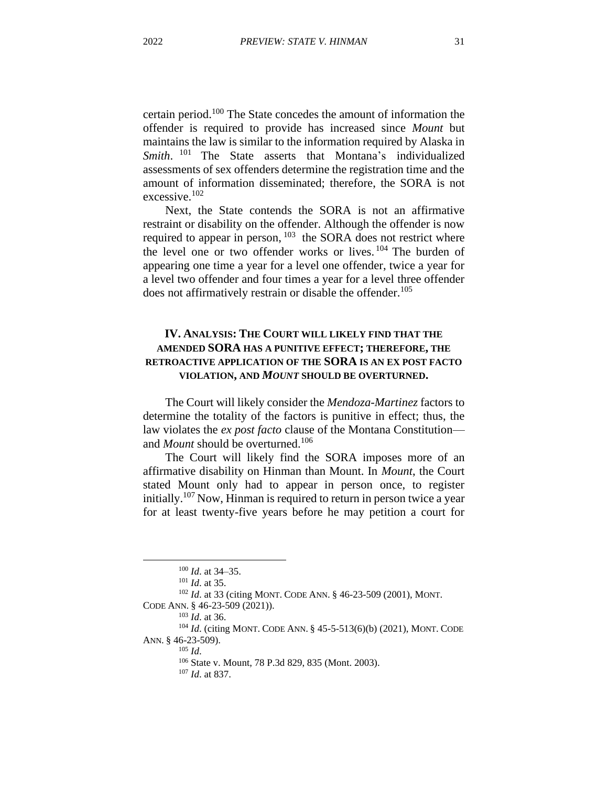certain period. <sup>100</sup> The State concedes the amount of information the offender is required to provide has increased since *Mount* but maintains the law is similar to the information required by Alaska in Smith.<sup>101</sup> The State asserts that Montana's individualized assessments of sex offenders determine the registration time and the amount of information disseminated; therefore, the SORA is not excessive. 102

Next, the State contends the SORA is not an affirmative restraint or disability on the offender. Although the offender is now required to appear in person,  $103$  the SORA does not restrict where the level one or two offender works or lives. <sup>104</sup> The burden of appearing one time a year for a level one offender, twice a year for a level two offender and four times a year for a level three offender does not affirmatively restrain or disable the offender.<sup>105</sup>

## **IV. ANALYSIS: THE COURT WILL LIKELY FIND THAT THE AMENDED SORA HAS A PUNITIVE EFFECT; THEREFORE, THE RETROACTIVE APPLICATION OF THE SORA IS AN EX POST FACTO VIOLATION, AND** *MOUNT* **SHOULD BE OVERTURNED.**

The Court will likely consider the *Mendoza-Martinez* factors to determine the totality of the factors is punitive in effect; thus, the law violates the *ex post facto* clause of the Montana Constitution and *Mount* should be overturned. 106

The Court will likely find the SORA imposes more of an affirmative disability on Hinman than Mount. In *Mount*, the Court stated Mount only had to appear in person once, to register initially.<sup>107</sup> Now, Hinman is required to return in person twice a year for at least twenty-five years before he may petition a court for

<sup>100</sup> *Id*. at 34–35.

<sup>101</sup> *Id*. at 35.

<sup>102</sup> *Id*. at 33 (citing MONT. CODE ANN. § 46-23-509 (2001), MONT. CODE ANN. § 46-23-509 (2021)).

<sup>103</sup> *Id*. at 36.

<sup>&</sup>lt;sup>104</sup> *Id.* (citing MONT. CODE ANN. § 45-5-513(6)(b) (2021), MONT. CODE ANN. § 46-23-509).

<sup>105</sup> *Id*.

<sup>106</sup> State v. Mount, 78 P.3d 829, 835 (Mont. 2003).

<sup>107</sup> *Id*. at 837.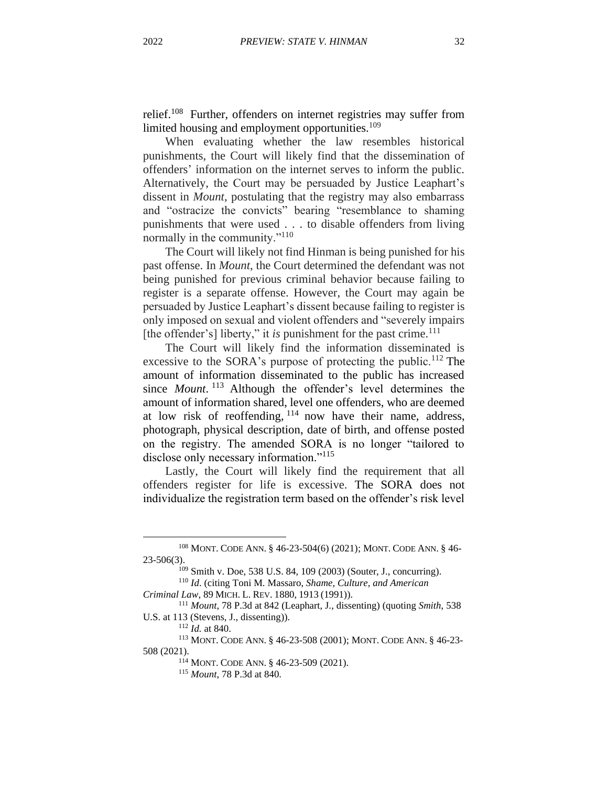relief.<sup>108</sup> Further, offenders on internet registries may suffer from limited housing and employment opportunities.<sup>109</sup>

When evaluating whether the law resembles historical punishments, the Court will likely find that the dissemination of offenders' information on the internet serves to inform the public. Alternatively, the Court may be persuaded by Justice Leaphart's dissent in *Mount*, postulating that the registry may also embarrass and "ostracize the convicts" bearing "resemblance to shaming punishments that were used . . . to disable offenders from living normally in the community."<sup>110</sup>

The Court will likely not find Hinman is being punished for his past offense. In *Mount*, the Court determined the defendant was not being punished for previous criminal behavior because failing to register is a separate offense. However, the Court may again be persuaded by Justice Leaphart's dissent because failing to register is only imposed on sexual and violent offenders and "severely impairs [the offender's] liberty," it *is* punishment for the past crime.<sup>111</sup>

The Court will likely find the information disseminated is excessive to the SORA's purpose of protecting the public.<sup>112</sup> The amount of information disseminated to the public has increased since *Mount*. <sup>113</sup> Although the offender's level determines the amount of information shared, level one offenders, who are deemed at low risk of reoffending,  $114$  now have their name, address, photograph, physical description, date of birth, and offense posted on the registry. The amended SORA is no longer "tailored to disclose only necessary information."<sup>115</sup>

Lastly, the Court will likely find the requirement that all offenders register for life is excessive. The SORA does not individualize the registration term based on the offender's risk level

<sup>108</sup> MONT. CODE ANN. § 46-23-504(6) (2021); MONT. CODE ANN. § 46- 23-506(3).

<sup>109</sup> Smith v. Doe, 538 U.S. 84, 109 (2003) (Souter, J., concurring).

<sup>110</sup> *Id*. (citing Toni M. Massaro, *Shame, Culture, and American* 

*Criminal Law*, 89 MICH. L. REV. 1880, 1913 (1991)).

<sup>111</sup> *Mount*, 78 P.3d at 842 (Leaphart, J., dissenting) (quoting *Smith*, 538 U.S. at 113 (Stevens, J., dissenting)).

<sup>112</sup> *Id.* at 840.

<sup>113</sup> MONT. CODE ANN. § 46-23-508 (2001); MONT. CODE ANN. § 46-23- 508 (2021).

<sup>114</sup> MONT. CODE ANN. § 46-23-509 (2021).

<sup>115</sup> *Mount*, 78 P.3d at 840.